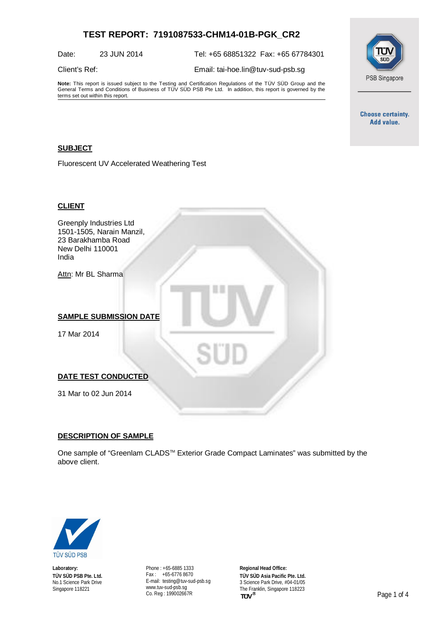## **TEST REPORT: 7191087533-CHM14-01B-PGK\_CR2**

Date: 23 JUN 2014 Tel: +65 68851322 Fax: +65 67784301

Client's Ref: Email: [tai-hoe.lin@tuv-sud-psb.sg](mailto:tai-hoe.lin@tuv-sud-psb.sg)

**Note:** This report is issued subject to the Testing and Certification Regulations of the TÜV SÜD Group and the General Terms and Conditions of Business of TÜV SÜD PSB Pte Ltd. In addition, this report is governed by the terms set out within this report.



**Choose certainty.** Add value.

### **SUBJECT**

Fluorescent UV Accelerated Weathering Test

#### **CLIENT**

Greenply Industries Ltd 1501-1505, Narain Manzil, 23 Barakhamba Road New Delhi 110001 India

Attn: Mr BL Sharma

#### **SAMPLE SUBMISSION DATE**

17 Mar 2014

#### **DATE TEST CONDUCTED**

31 Mar to 02 Jun 2014

#### **DESCRIPTION OF SAMPLE**

One sample of "Greenlam CLADS™ Exterior Grade Compact Laminates" was submitted by the above client.



**Laboratory: TÜV SÜD PSB Pte. Ltd.** No.1 Science Park Drive Singapore 118221

Phone : +65-6885 1333 Fax : +65-6776 8670 E-mail: [testing@tuv-sud-psb.sg](mailto:testing@tuv-sud-psb.sg) [www.tuv-sud-psb.sg](http://www.tuv-sud-psb.sg/) Co. Reg : 199002667R

**Regional Head Office: TÜV SÜD Asia Pacific Pte. Ltd.** 3 Science Park Drive, #04-01/05 The Franklin, Singapore 118223<br>TUV<sup>®</sup>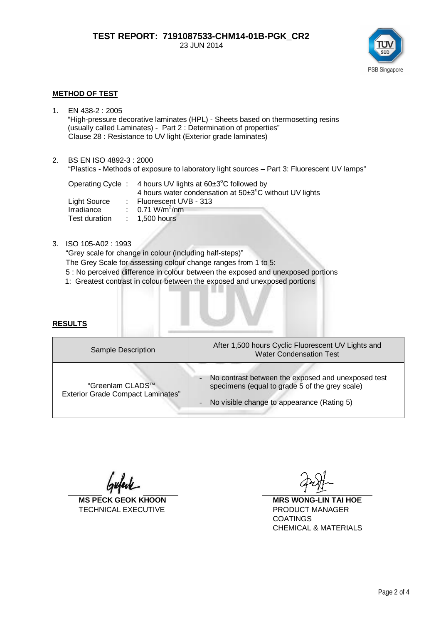

#### **METHOD OF TEST**

- 1. EN 438-2 : 2005 "High-pressure decorative laminates (HPL) - Sheets based on thermosetting resins (usually called Laminates) - Part 2 : Determination of properties" Clause 28 : Resistance to UV light (Exterior grade laminates)
- 2. BS EN ISO 4892-3 : 2000

"Plastics - Methods of exposure to laboratory light sources – Part 3: Fluorescent UV lamps"

|               |  | Operating Cycle : 4 hours UV lights at $60\pm3^{\circ}$ C followed by |
|---------------|--|-----------------------------------------------------------------------|
|               |  | 4 hours water condensation at 50±3°C without UV lights                |
| Light Source  |  | $\therefore$ Fluorescent UVB - 313                                    |
| Irradiance    |  | : $0.71 \text{ W/m}^2/\text{nm}$                                      |
| Test duration |  | $: 1.500$ hours                                                       |

#### 3. ISO 105-A02 : 1993

"Grey scale for change in colour (including half-steps)" The Grey Scale for assessing colour change ranges from 1 to 5:

- 5 : No perceived difference in colour between the exposed and unexposed portions
- 1: Greatest contrast in colour between the exposed and unexposed portions

#### **RESULTS**

| Sample Description                                           | After 1,500 hours Cyclic Fluorescent UV Lights and<br><b>Water Condensation Test</b>                                                                                                             |  |  |  |
|--------------------------------------------------------------|--------------------------------------------------------------------------------------------------------------------------------------------------------------------------------------------------|--|--|--|
| "Greenlam CLADS™<br><b>Exterior Grade Compact Laminates"</b> | No contrast between the exposed and unexposed test<br>$\overline{\phantom{a}}$<br>specimens (equal to grade 5 of the grey scale)<br>No visible change to appearance (Rating 5)<br>$\blacksquare$ |  |  |  |
|                                                              |                                                                                                                                                                                                  |  |  |  |

TECHNICAL EXECUTIVE **EXECUTIVE PRODUCT MANAGER** 

**MS PECK GEOK KHOON MRS WONG-LIN TAI HOE** COATINGS CHEMICAL & MATERIALS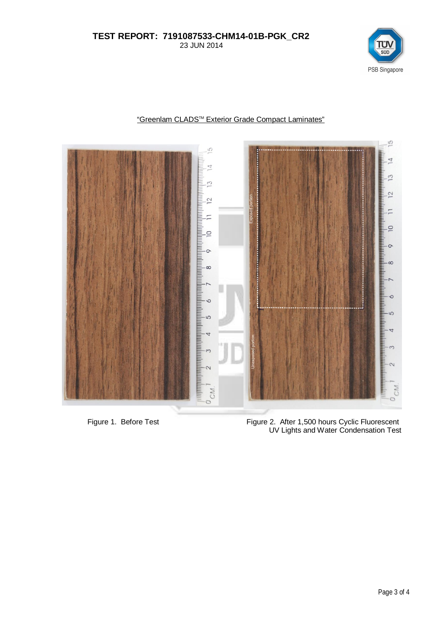### **TEST REPORT: 7191087533-CHM14-01B-PGK\_CR2** 23 JUN 2014





# "Greenlam CLADSTM Exterior Grade Compact Laminates"

 Figure 1. Before Test Figure 2. After 1,500 hours Cyclic Fluorescent UV Lights and Water Condensation Test